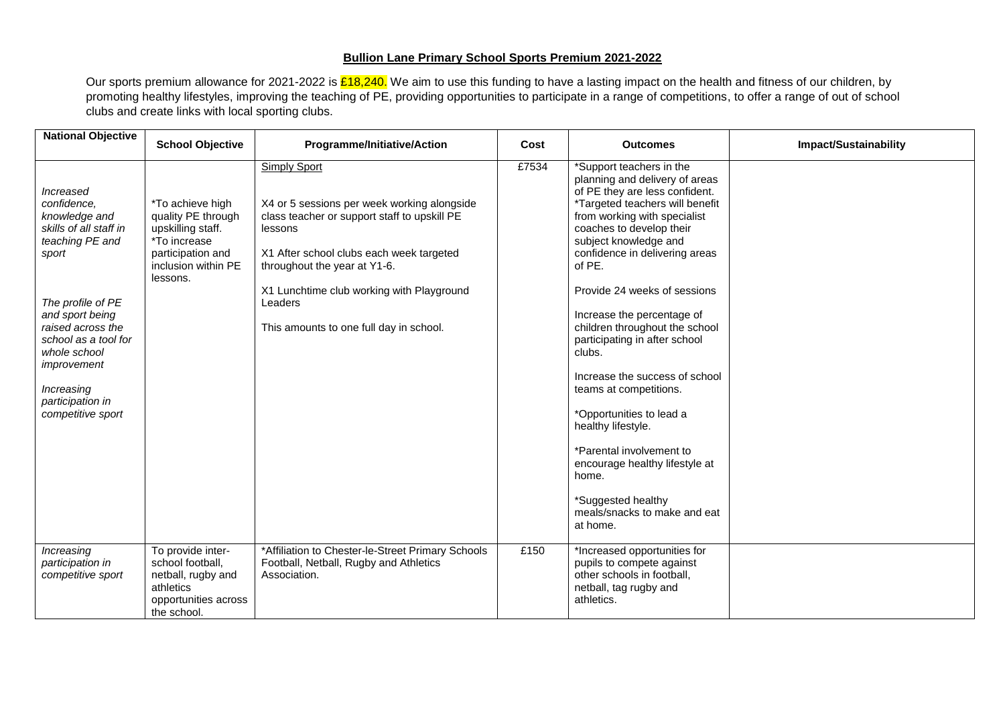## **Bullion Lane Primary School Sports Premium 2021-2022**

Our sports premium allowance for 2021-2022 is <mark>£18,240.</mark> We aim to use this funding to have a lasting impact on the health and fitness of our children, by promoting healthy lifestyles, improving the teaching of PE, providing opportunities to participate in a range of competitions, to offer a range of out of school clubs and create links with local sporting clubs.

| <b>National Objective</b>                                                                                                                                               | <b>School Objective</b>                                                                                                             | Programme/Initiative/Action                                                                                                                                                                                                                            | Cost  | <b>Outcomes</b>                                                                                                                                                                                                                                                                                                                                                | <b>Impact/Sustainability</b> |
|-------------------------------------------------------------------------------------------------------------------------------------------------------------------------|-------------------------------------------------------------------------------------------------------------------------------------|--------------------------------------------------------------------------------------------------------------------------------------------------------------------------------------------------------------------------------------------------------|-------|----------------------------------------------------------------------------------------------------------------------------------------------------------------------------------------------------------------------------------------------------------------------------------------------------------------------------------------------------------------|------------------------------|
| Increased<br>confidence,<br>knowledge and<br>skills of all staff in<br>teaching PE and<br>sport                                                                         | *To achieve high<br>quality PE through<br>upskilling staff.<br>*To increase<br>participation and<br>inclusion within PE<br>lessons. | <b>Simply Sport</b><br>X4 or 5 sessions per week working alongside<br>class teacher or support staff to upskill PE<br>lessons<br>X1 After school clubs each week targeted<br>throughout the year at Y1-6.<br>X1 Lunchtime club working with Playground | £7534 | *Support teachers in the<br>planning and delivery of areas<br>of PE they are less confident.<br>*Targeted teachers will benefit<br>from working with specialist<br>coaches to develop their<br>subject knowledge and<br>confidence in delivering areas<br>of PE.<br>Provide 24 weeks of sessions                                                               |                              |
| The profile of PE<br>and sport being<br>raised across the<br>school as a tool for<br>whole school<br>improvement<br>Increasing<br>participation in<br>competitive sport |                                                                                                                                     | Leaders<br>This amounts to one full day in school.                                                                                                                                                                                                     |       | Increase the percentage of<br>children throughout the school<br>participating in after school<br>clubs.<br>Increase the success of school<br>teams at competitions.<br>*Opportunities to lead a<br>healthy lifestyle.<br>*Parental involvement to<br>encourage healthy lifestyle at<br>home.<br>*Suggested healthy<br>meals/snacks to make and eat<br>at home. |                              |
| Increasing<br>participation in<br>competitive sport                                                                                                                     | To provide inter-<br>school football,<br>netball, rugby and<br>athletics<br>opportunities across<br>the school.                     | *Affiliation to Chester-le-Street Primary Schools<br>Football, Netball, Rugby and Athletics<br>Association.                                                                                                                                            | £150  | *Increased opportunities for<br>pupils to compete against<br>other schools in football,<br>netball, tag rugby and<br>athletics.                                                                                                                                                                                                                                |                              |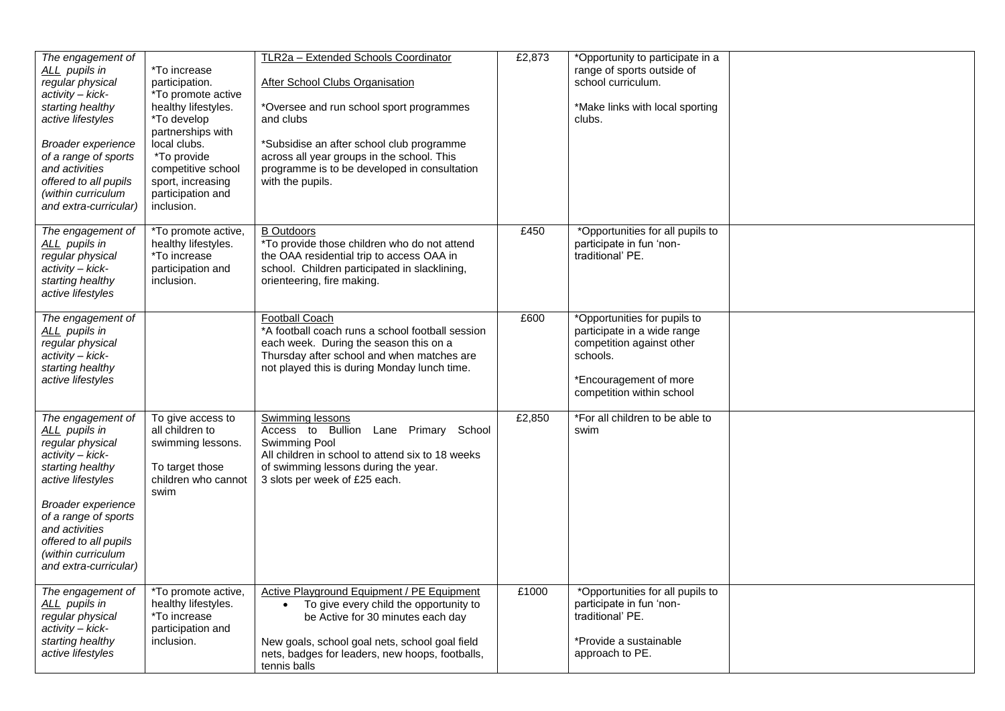| The engagement of<br>ALL pupils in<br>regular physical<br>activity - kick-<br>starting healthy<br>active lifestyles<br>Broader experience<br>of a range of sports<br>and activities<br>offered to all pupils<br>(within curriculum<br>and extra-curricular) | *To increase<br>participation.<br>*To promote active<br>healthy lifestyles.<br>*To develop<br>partnerships with<br>local clubs.<br>*To provide<br>competitive school<br>sport, increasing<br>participation and<br>inclusion. | TLR2a - Extended Schools Coordinator<br><b>After School Clubs Organisation</b><br>*Oversee and run school sport programmes<br>and clubs<br>*Subsidise an after school club programme<br>across all year groups in the school. This<br>programme is to be developed in consultation<br>with the pupils. | £2,873 | *Opportunity to participate in a<br>range of sports outside of<br>school curriculum.<br>*Make links with local sporting<br>clubs.                           |  |
|-------------------------------------------------------------------------------------------------------------------------------------------------------------------------------------------------------------------------------------------------------------|------------------------------------------------------------------------------------------------------------------------------------------------------------------------------------------------------------------------------|--------------------------------------------------------------------------------------------------------------------------------------------------------------------------------------------------------------------------------------------------------------------------------------------------------|--------|-------------------------------------------------------------------------------------------------------------------------------------------------------------|--|
| The engagement of<br>ALL pupils in<br>regular physical<br>activity - kick-<br>starting healthy<br>active lifestyles                                                                                                                                         | *To promote active,<br>healthy lifestyles.<br>*To increase<br>participation and<br>inclusion.                                                                                                                                | <b>B</b> Outdoors<br>*To provide those children who do not attend<br>the OAA residential trip to access OAA in<br>school. Children participated in slacklining,<br>orienteering, fire making.                                                                                                          | £450   | *Opportunities for all pupils to<br>participate in fun 'non-<br>traditional' PE.                                                                            |  |
| The engagement of<br>ALL pupils in<br>regular physical<br>activity - kick-<br>starting healthy<br>active lifestyles                                                                                                                                         |                                                                                                                                                                                                                              | <b>Football Coach</b><br>*A football coach runs a school football session<br>each week. During the season this on a<br>Thursday after school and when matches are<br>not played this is during Monday lunch time.                                                                                      | £600   | *Opportunities for pupils to<br>participate in a wide range<br>competition against other<br>schools.<br>*Encouragement of more<br>competition within school |  |
| The engagement of<br>ALL pupils in<br>regular physical<br>activity - kick-<br>starting healthy<br>active lifestyles<br>Broader experience<br>of a range of sports<br>and activities<br>offered to all pupils<br>(within curriculum<br>and extra-curricular) | To give access to<br>all children to<br>swimming lessons.<br>To target those<br>children who cannot<br>swim                                                                                                                  | <b>Swimming lessons</b><br>Access to Bullion Lane Primary School<br>Swimming Pool<br>All children in school to attend six to 18 weeks<br>of swimming lessons during the year.<br>3 slots per week of £25 each.                                                                                         | £2,850 | *For all children to be able to<br>swim                                                                                                                     |  |
| The engagement of<br>ALL pupils in<br>regular physical<br>activity - kick-<br>starting healthy<br>active lifestyles                                                                                                                                         | *To promote active,<br>healthy lifestyles.<br>*To increase<br>participation and<br>inclusion.                                                                                                                                | Active Playground Equipment / PE Equipment<br>To give every child the opportunity to<br>$\bullet$<br>be Active for 30 minutes each day<br>New goals, school goal nets, school goal field<br>nets, badges for leaders, new hoops, footballs,<br>tennis balls                                            | £1000  | *Opportunities for all pupils to<br>participate in fun 'non-<br>traditional' PE.<br>*Provide a sustainable<br>approach to PE.                               |  |